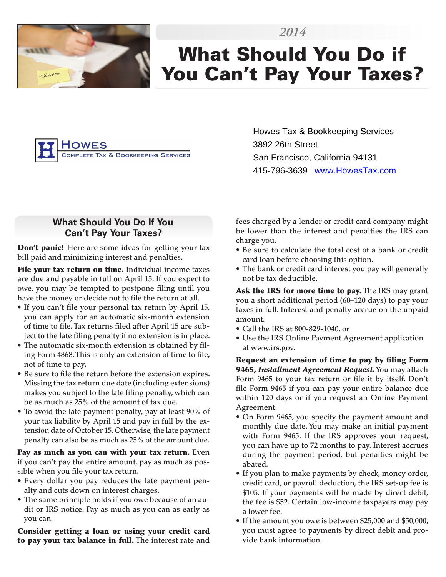

# What Should You Do if You Can't Pay Your Taxes?

*2014*



Howes Tax & Bookkeeping Services 3892 26th Street San Francisco, California 94131 415-796-3639 | www.HowesTax.com

### **What Should You Do If You Can't Pay Your Taxes?**

Don't panic! Here are some ideas for getting your tax bill paid and minimizing interest and penalties.

File your tax return on time. Individual income taxes are due and payable in full on April 15. If you expect to owe, you may be tempted to postpone filing until you have the money or decide not to file the return at all.

- If you can't file your personal tax return by April 15, you can apply for an automatic six-month extension of time to file. Tax returns filed after April 15 are subject to the late filing penalty if no extension is in place.
- The automatic six-month extension is obtained by filing Form 4868. This is only an extension of time to file, not of time to pay.
- Be sure to file the return before the extension expires. Missing the tax return due date (including extensions) makes you subject to the late filing penalty, which can be as much as 25% of the amount of tax due.
- To avoid the late payment penalty, pay at least 90% of your tax liability by April 15 and pay in full by the extension date of October 15. Otherwise, the late payment penalty can also be as much as 25% of the amount due.

Pay as much as you can with your tax return. Even if you can't pay the entire amount, pay as much as possible when you file your tax return.

- Every dollar you pay reduces the late payment penalty and cuts down on interest charges.
- The same principle holds if you owe because of an audit or IRS notice. Pay as much as you can as early as you can.

Consider getting a loan or using your credit card to pay your tax balance in full. The interest rate and fees charged by a lender or credit card company might be lower than the interest and penalties the IRS can charge you.

- Be sure to calculate the total cost of a bank or credit card loan before choosing this option.
- The bank or credit card interest you pay will generally not be tax deductible.

Ask the IRS for more time to pay. The IRS may grant you a short additional period (60–120 days) to pay your taxes in full. Interest and penalty accrue on the unpaid amount.

- Call the IRS at 800-829-1040, or
- Use the IRS Online Payment Agreement application at www.irs.gov.

Request an extension of time to pay by filing Form 9465, *Installment Agreement Request.* You may attach Form 9465 to your tax return or file it by itself. Don't file Form 9465 if you can pay your entire balance due within 120 days or if you request an Online Payment Agreement.

- On Form 9465, you specify the payment amount and monthly due date. You may make an initial payment with Form 9465. If the IRS approves your request, you can have up to 72 months to pay. Interest accrues during the payment period, but penalties might be abated.
- If you plan to make payments by check, money order, credit card, or payroll deduction, the IRS set-up fee is \$105. If your payments will be made by direct debit, the fee is \$52. Certain low-income taxpayers may pay a lower fee.
- If the amount you owe is between \$25,000 and \$50,000, you must agree to payments by direct debit and provide bank information.